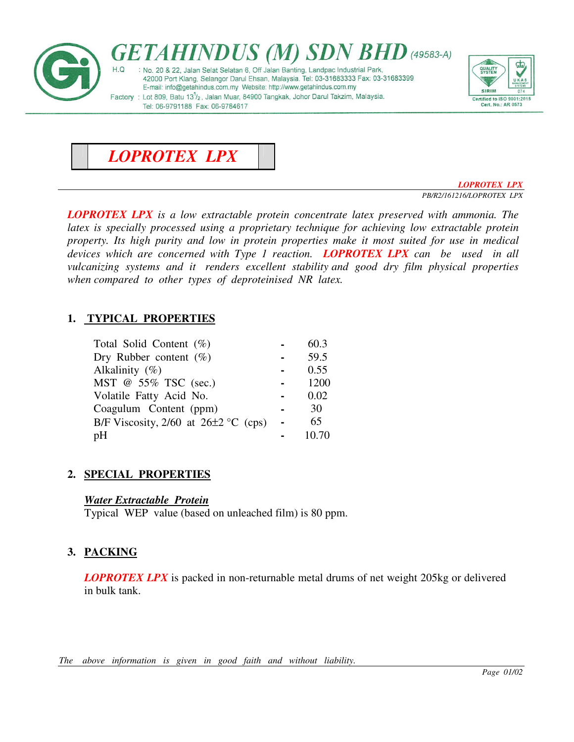





*LOPROTEX LPX PB/R2/161216/LOPROTEX LPX* 

*LOPROTEX LPX is a low extractable protein concentrate latex preserved with ammonia. The latex is specially processed using a proprietary technique for achieving low extractable protein property. Its high purity and low in protein properties make it most suited for use in medical devices which are concerned with Type 1 reaction. LOPROTEX LPX can be used in all vulcanizing systems and it renders excellent stability and good dry film physical properties when compared to other types of deproteinised NR latex.* 

# **1. TYPICAL PROPERTIES**

| Total Solid Content $(\%)$                 | 60.3  |
|--------------------------------------------|-------|
| Dry Rubber content $(\%)$                  | 59.5  |
| Alkalinity $(\%)$                          | 0.55  |
| MST @ 55% TSC (sec.)                       | 1200  |
| Volatile Fatty Acid No.                    | 0.02  |
| Coagulum Content (ppm)                     | 30    |
| B/F Viscosity, $2/60$ at $26\pm2$ °C (cps) | 65    |
| pH                                         | 10.70 |

# **2. SPECIAL PROPERTIES**

# *Water Extractable Protein*

Typical WEP value (based on unleached film) is 80 ppm.

# **3. PACKING**

*LOPROTEX LPX* is packed in non-returnable metal drums of net weight 205kg or delivered in bulk tank.